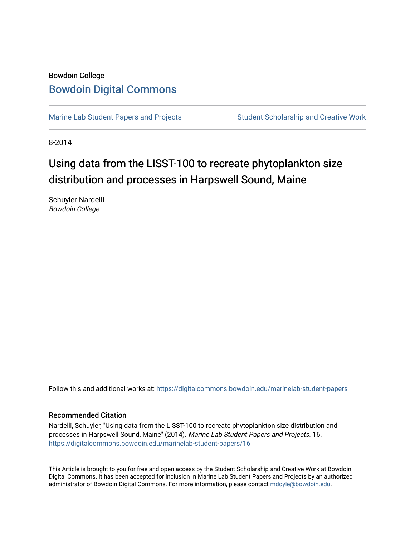## Bowdoin College [Bowdoin Digital Commons](https://digitalcommons.bowdoin.edu/)

[Marine Lab Student Papers and Projects](https://digitalcommons.bowdoin.edu/marinelab-student-papers) Student Scholarship and Creative Work

8-2014

# Using data from the LISST-100 to recreate phytoplankton size distribution and processes in Harpswell Sound, Maine

Schuyler Nardelli Bowdoin College

Follow this and additional works at: [https://digitalcommons.bowdoin.edu/marinelab-student-papers](https://digitalcommons.bowdoin.edu/marinelab-student-papers?utm_source=digitalcommons.bowdoin.edu%2Fmarinelab-student-papers%2F16&utm_medium=PDF&utm_campaign=PDFCoverPages) 

#### Recommended Citation

Nardelli, Schuyler, "Using data from the LISST-100 to recreate phytoplankton size distribution and processes in Harpswell Sound, Maine" (2014). Marine Lab Student Papers and Projects. 16. [https://digitalcommons.bowdoin.edu/marinelab-student-papers/16](https://digitalcommons.bowdoin.edu/marinelab-student-papers/16?utm_source=digitalcommons.bowdoin.edu%2Fmarinelab-student-papers%2F16&utm_medium=PDF&utm_campaign=PDFCoverPages) 

This Article is brought to you for free and open access by the Student Scholarship and Creative Work at Bowdoin Digital Commons. It has been accepted for inclusion in Marine Lab Student Papers and Projects by an authorized administrator of Bowdoin Digital Commons. For more information, please contact [mdoyle@bowdoin.edu.](mailto:mdoyle@bowdoin.edu)